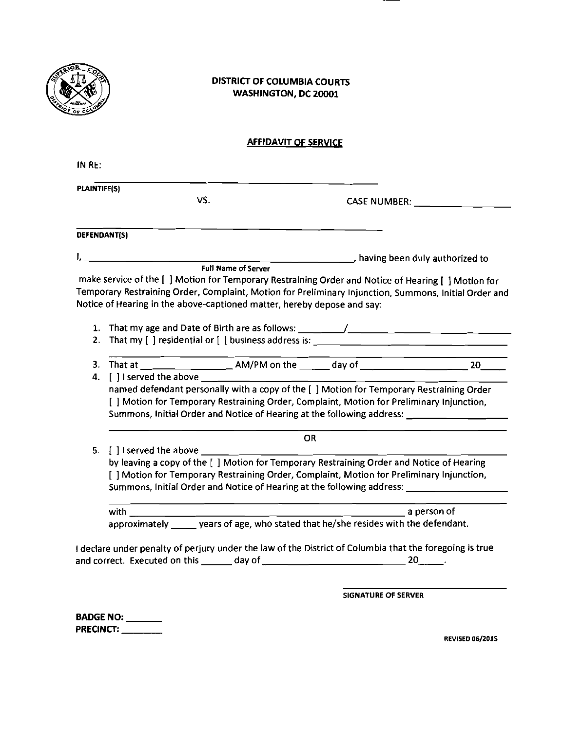

## DISTRICT OF COLUMBIA COURTS WASHINGTON, DC **ZOO01**

## AFFIDAVIT OF SERVICE

|    | PLAINTIFF(S)                                                                                                                                                                                                                      |           |  |  |  |  |  |  |
|----|-----------------------------------------------------------------------------------------------------------------------------------------------------------------------------------------------------------------------------------|-----------|--|--|--|--|--|--|
|    | VS.                                                                                                                                                                                                                               |           |  |  |  |  |  |  |
|    | DEFENDANT(S)                                                                                                                                                                                                                      |           |  |  |  |  |  |  |
|    |                                                                                                                                                                                                                                   |           |  |  |  |  |  |  |
|    | and the same of the same state of the same state of the same state of the same state of the same state of the s<br>The same of the same of the same state of the same state of the same state of the same state of the same state |           |  |  |  |  |  |  |
|    | make service of the [ ] Motion for Temporary Restraining Order and Notice of Hearing [ ] Motion for                                                                                                                               |           |  |  |  |  |  |  |
|    | Temporary Restraining Order, Complaint, Motion for Preliminary Injunction, Summons, Initial Order and                                                                                                                             |           |  |  |  |  |  |  |
|    | Notice of Hearing in the above-captioned matter, hereby depose and say:                                                                                                                                                           |           |  |  |  |  |  |  |
|    |                                                                                                                                                                                                                                   |           |  |  |  |  |  |  |
|    |                                                                                                                                                                                                                                   |           |  |  |  |  |  |  |
| 2. |                                                                                                                                                                                                                                   |           |  |  |  |  |  |  |
|    |                                                                                                                                                                                                                                   |           |  |  |  |  |  |  |
|    |                                                                                                                                                                                                                                   |           |  |  |  |  |  |  |
|    |                                                                                                                                                                                                                                   |           |  |  |  |  |  |  |
|    | 4. [ ] I served the above ____                                                                                                                                                                                                    |           |  |  |  |  |  |  |
|    | named defendant personally with a copy of the [ ] Motion for Temporary Restraining Order                                                                                                                                          |           |  |  |  |  |  |  |
|    |                                                                                                                                                                                                                                   |           |  |  |  |  |  |  |
|    | [ ] Motion for Temporary Restraining Order, Complaint, Motion for Preliminary Injunction,                                                                                                                                         |           |  |  |  |  |  |  |
|    | Summons, Initial Order and Notice of Hearing at the following address: ____________________________                                                                                                                               |           |  |  |  |  |  |  |
|    |                                                                                                                                                                                                                                   | <b>OR</b> |  |  |  |  |  |  |
|    | 5. [ ] I served the above _________                                                                                                                                                                                               |           |  |  |  |  |  |  |
|    |                                                                                                                                                                                                                                   |           |  |  |  |  |  |  |
|    | by leaving a copy of the [ ] Motion for Temporary Restraining Order and Notice of Hearing                                                                                                                                         |           |  |  |  |  |  |  |
|    | [ ] Motion for Temporary Restraining Order, Complaint, Motion for Preliminary Injunction,                                                                                                                                         |           |  |  |  |  |  |  |
|    | Summons, Initial Order and Notice of Hearing at the following address: 1986 1997 1998                                                                                                                                             |           |  |  |  |  |  |  |
|    |                                                                                                                                                                                                                                   |           |  |  |  |  |  |  |
|    |                                                                                                                                                                                                                                   |           |  |  |  |  |  |  |
|    |                                                                                                                                                                                                                                   |           |  |  |  |  |  |  |
|    | I declare under penalty of perjury under the law of the District of Columbia that the foregoing is true                                                                                                                           |           |  |  |  |  |  |  |

SIGNATURE OF SERVER

BADGE NO: PRECINCT:

REVISED 06/201S